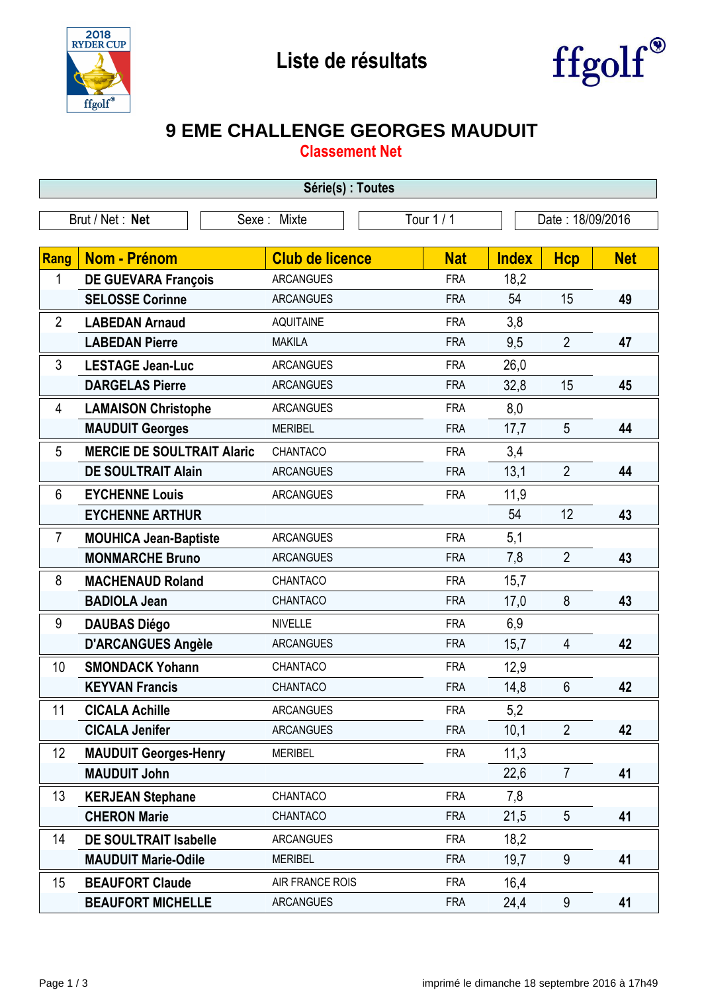



## **9 EME CHALLENGE GEORGES MAUDUIT**

**Classement Net**

| Série(s) : Toutes                                                |                                   |                        |  |            |              |                |            |
|------------------------------------------------------------------|-----------------------------------|------------------------|--|------------|--------------|----------------|------------|
| Tour $1/1$<br>Brut / Net: Net<br>Date: 18/09/2016<br>Sexe: Mixte |                                   |                        |  |            |              |                |            |
|                                                                  |                                   |                        |  |            |              |                |            |
| Rang                                                             | <b>Nom - Prénom</b>               | <b>Club de licence</b> |  | <b>Nat</b> | <b>Index</b> | <b>Hcp</b>     | <b>Net</b> |
| 1                                                                | <b>DE GUEVARA François</b>        | <b>ARCANGUES</b>       |  | <b>FRA</b> | 18,2         |                |            |
|                                                                  | <b>SELOSSE Corinne</b>            | <b>ARCANGUES</b>       |  | <b>FRA</b> | 54           | 15             | 49         |
| $\overline{2}$                                                   | <b>LABEDAN Arnaud</b>             | <b>AQUITAINE</b>       |  | <b>FRA</b> | 3,8          |                |            |
|                                                                  | <b>LABEDAN Pierre</b>             | <b>MAKILA</b>          |  | <b>FRA</b> | 9,5          | $\overline{2}$ | 47         |
| 3                                                                | <b>LESTAGE Jean-Luc</b>           | <b>ARCANGUES</b>       |  | <b>FRA</b> | 26,0         |                |            |
|                                                                  | <b>DARGELAS Pierre</b>            | <b>ARCANGUES</b>       |  | <b>FRA</b> | 32,8         | 15             | 45         |
| 4                                                                | <b>LAMAISON Christophe</b>        | <b>ARCANGUES</b>       |  | <b>FRA</b> | 8,0          |                |            |
|                                                                  | <b>MAUDUIT Georges</b>            | <b>MERIBEL</b>         |  | <b>FRA</b> | 17,7         | 5              | 44         |
| 5                                                                | <b>MERCIE DE SOULTRAIT Alaric</b> | CHANTACO               |  | <b>FRA</b> | 3,4          |                |            |
|                                                                  | <b>DE SOULTRAIT Alain</b>         | <b>ARCANGUES</b>       |  | <b>FRA</b> | 13,1         | $\overline{2}$ | 44         |
| 6                                                                | <b>EYCHENNE Louis</b>             | <b>ARCANGUES</b>       |  | <b>FRA</b> | 11,9         |                |            |
|                                                                  | <b>EYCHENNE ARTHUR</b>            |                        |  |            | 54           | 12             | 43         |
| $\overline{7}$                                                   | <b>MOUHICA Jean-Baptiste</b>      | <b>ARCANGUES</b>       |  | <b>FRA</b> | 5,1          |                |            |
|                                                                  | <b>MONMARCHE Bruno</b>            | <b>ARCANGUES</b>       |  | <b>FRA</b> | 7,8          | $\overline{2}$ | 43         |
| 8                                                                | <b>MACHENAUD Roland</b>           | CHANTACO               |  | <b>FRA</b> | 15,7         |                |            |
|                                                                  | <b>BADIOLA Jean</b>               | CHANTACO               |  | <b>FRA</b> | 17,0         | 8              | 43         |
| 9                                                                | <b>DAUBAS Diégo</b>               | <b>NIVELLE</b>         |  | <b>FRA</b> | 6,9          |                |            |
|                                                                  | <b>D'ARCANGUES Angèle</b>         | <b>ARCANGUES</b>       |  | <b>FRA</b> | 15,7         | $\overline{4}$ | 42         |
| 10                                                               | <b>SMONDACK Yohann</b>            | CHANTACO               |  | <b>FRA</b> | 12,9         |                |            |
|                                                                  | <b>KEYVAN Francis</b>             | CHANTACO               |  | <b>FRA</b> | 14,8         | 6              | 42         |
| 11                                                               | <b>CICALA Achille</b>             | ARCANGUES              |  | FRA        | 5,2          |                |            |
|                                                                  | <b>CICALA Jenifer</b>             | <b>ARCANGUES</b>       |  | <b>FRA</b> | 10,1         | $\overline{2}$ | 42         |
| 12                                                               | <b>MAUDUIT Georges-Henry</b>      | <b>MERIBEL</b>         |  | <b>FRA</b> | 11,3         |                |            |
|                                                                  | <b>MAUDUIT John</b>               |                        |  |            | 22,6         | $\overline{7}$ | 41         |
| 13                                                               | <b>KERJEAN Stephane</b>           | CHANTACO               |  | <b>FRA</b> | 7,8          |                |            |
|                                                                  | <b>CHERON Marie</b>               | CHANTACO               |  | <b>FRA</b> | 21,5         | 5              | 41         |
| 14                                                               | <b>DE SOULTRAIT Isabelle</b>      | <b>ARCANGUES</b>       |  | <b>FRA</b> | 18,2         |                |            |
|                                                                  | <b>MAUDUIT Marie-Odile</b>        | <b>MERIBEL</b>         |  | <b>FRA</b> | 19,7         | 9              | 41         |
| 15                                                               | <b>BEAUFORT Claude</b>            | AIR FRANCE ROIS        |  | <b>FRA</b> | 16,4         |                |            |
|                                                                  | <b>BEAUFORT MICHELLE</b>          | <b>ARCANGUES</b>       |  | <b>FRA</b> | 24,4         | 9              | 41         |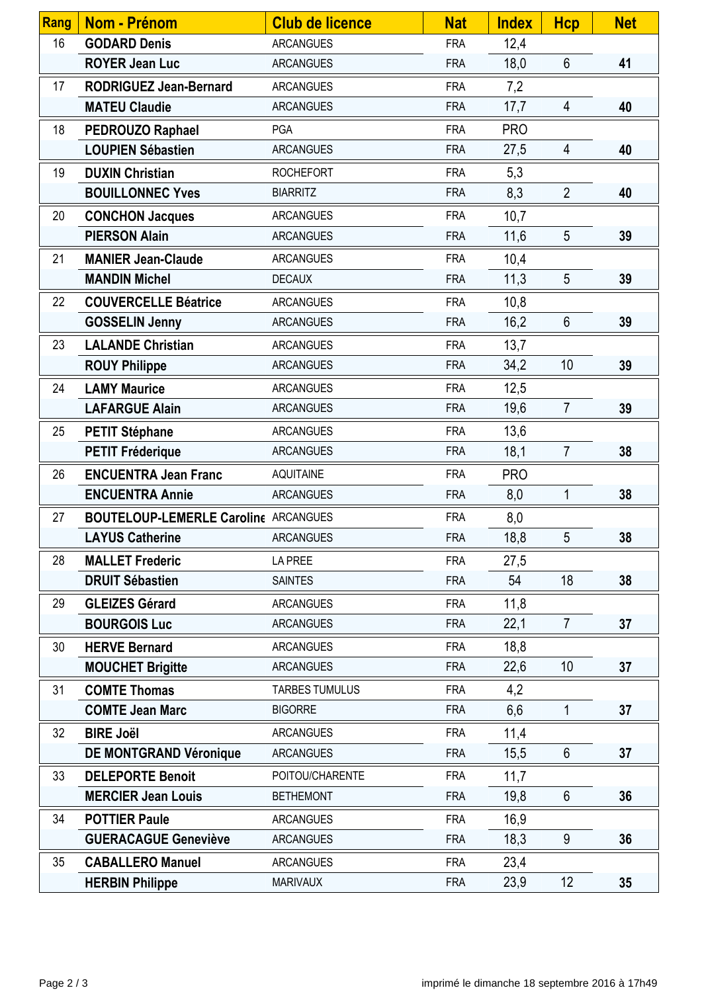| <b>Rang</b> | <b>Nom - Prénom</b>                         | <b>Club de licence</b> | <b>Nat</b> | <b>Index</b> | <b>Hcp</b>      | <b>Net</b> |
|-------------|---------------------------------------------|------------------------|------------|--------------|-----------------|------------|
| 16          | <b>GODARD Denis</b>                         | <b>ARCANGUES</b>       | <b>FRA</b> | 12,4         |                 |            |
|             | <b>ROYER Jean Luc</b>                       | <b>ARCANGUES</b>       | <b>FRA</b> | 18,0         | 6               | 41         |
| 17          | <b>RODRIGUEZ Jean-Bernard</b>               | <b>ARCANGUES</b>       | <b>FRA</b> | 7,2          |                 |            |
|             | <b>MATEU Claudie</b>                        | <b>ARCANGUES</b>       | <b>FRA</b> | 17,7         | 4               | 40         |
| 18          | PEDROUZO Raphael                            | <b>PGA</b>             | <b>FRA</b> | <b>PRO</b>   |                 |            |
|             | <b>LOUPIEN Sébastien</b>                    | <b>ARCANGUES</b>       | <b>FRA</b> | 27,5         | $\overline{4}$  | 40         |
| 19          | <b>DUXIN Christian</b>                      | <b>ROCHEFORT</b>       | <b>FRA</b> | 5,3          |                 |            |
|             | <b>BOUILLONNEC Yves</b>                     | <b>BIARRITZ</b>        | <b>FRA</b> | 8,3          | $\overline{2}$  | 40         |
| 20          | <b>CONCHON Jacques</b>                      | <b>ARCANGUES</b>       | <b>FRA</b> | 10,7         |                 |            |
|             | <b>PIERSON Alain</b>                        | <b>ARCANGUES</b>       | <b>FRA</b> | 11,6         | 5               | 39         |
| 21          | <b>MANIER Jean-Claude</b>                   | <b>ARCANGUES</b>       | <b>FRA</b> | 10,4         |                 |            |
|             | <b>MANDIN Michel</b>                        | <b>DECAUX</b>          | <b>FRA</b> | 11,3         | $5\overline{)}$ | 39         |
| 22          | <b>COUVERCELLE Béatrice</b>                 | <b>ARCANGUES</b>       | <b>FRA</b> | 10,8         |                 |            |
|             | <b>GOSSELIN Jenny</b>                       | <b>ARCANGUES</b>       | <b>FRA</b> | 16,2         | $6\phantom{1}$  | 39         |
| 23          | <b>LALANDE Christian</b>                    | <b>ARCANGUES</b>       | <b>FRA</b> | 13,7         |                 |            |
|             | <b>ROUY Philippe</b>                        | <b>ARCANGUES</b>       | <b>FRA</b> | 34,2         | 10              | 39         |
| 24          | <b>LAMY Maurice</b>                         | <b>ARCANGUES</b>       | <b>FRA</b> | 12,5         |                 |            |
|             | <b>LAFARGUE Alain</b>                       | <b>ARCANGUES</b>       | <b>FRA</b> | 19,6         | $\overline{7}$  | 39         |
| 25          | <b>PETIT Stéphane</b>                       | <b>ARCANGUES</b>       | <b>FRA</b> | 13,6         |                 |            |
|             | <b>PETIT Fréderique</b>                     | <b>ARCANGUES</b>       | <b>FRA</b> | 18,1         | $\overline{7}$  | 38         |
| 26          | <b>ENCUENTRA Jean Franc</b>                 | <b>AQUITAINE</b>       | <b>FRA</b> | <b>PRO</b>   |                 |            |
|             | <b>ENCUENTRA Annie</b>                      | <b>ARCANGUES</b>       | <b>FRA</b> | 8,0          | 1               | 38         |
| 27          | <b>BOUTELOUP-LEMERLE Caroline ARCANGUES</b> |                        | <b>FRA</b> | 8,0          |                 |            |
|             | <b>LAYUS Catherine</b>                      | <b>ARCANGUES</b>       | <b>FRA</b> | 18,8         | 5               | 38         |
| 28          | <b>MALLET Frederic</b>                      | LA PREE                | <b>FRA</b> | 27,5         |                 |            |
|             | <b>DRUIT Sébastien</b>                      | <b>SAINTES</b>         | <b>FRA</b> | 54           | 18              | 38         |
| 29          | <b>GLEIZES Gérard</b>                       | <b>ARCANGUES</b>       | <b>FRA</b> | 11,8         |                 |            |
|             | <b>BOURGOIS Luc</b>                         | <b>ARCANGUES</b>       | <b>FRA</b> | 22,1         | $\overline{7}$  | 37         |
| 30          | <b>HERVE Bernard</b>                        | <b>ARCANGUES</b>       | <b>FRA</b> | 18,8         |                 |            |
|             | <b>MOUCHET Brigitte</b>                     | <b>ARCANGUES</b>       | <b>FRA</b> | 22,6         | 10              | 37         |
| 31          | <b>COMTE Thomas</b>                         | <b>TARBES TUMULUS</b>  | <b>FRA</b> | 4,2          |                 |            |
|             | <b>COMTE Jean Marc</b>                      | <b>BIGORRE</b>         | <b>FRA</b> | 6,6          | 1               | 37         |
| 32          | <b>BIRE Joël</b>                            | <b>ARCANGUES</b>       | <b>FRA</b> | 11,4         |                 |            |
|             | <b>DE MONTGRAND Véronique</b>               | <b>ARCANGUES</b>       | <b>FRA</b> | 15,5         | $6\phantom{1}$  | 37         |
| 33          | <b>DELEPORTE Benoit</b>                     | POITOU/CHARENTE        | <b>FRA</b> | 11,7         |                 |            |
|             | <b>MERCIER Jean Louis</b>                   | <b>BETHEMONT</b>       | <b>FRA</b> | 19,8         | $6\phantom{1}$  | 36         |
| 34          | <b>POTTIER Paule</b>                        | <b>ARCANGUES</b>       | <b>FRA</b> | 16,9         |                 |            |
|             | <b>GUERACAGUE Geneviève</b>                 | <b>ARCANGUES</b>       | <b>FRA</b> | 18,3         | 9               | 36         |
| 35          | <b>CABALLERO Manuel</b>                     | <b>ARCANGUES</b>       | <b>FRA</b> | 23,4         |                 |            |
|             | <b>HERBIN Philippe</b>                      | <b>MARIVAUX</b>        | <b>FRA</b> | 23,9         | 12              | 35         |